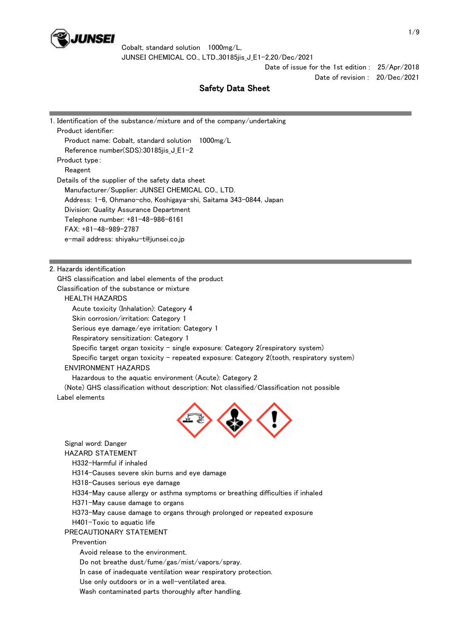

> Date of issue for the 1st edition : 25/Apr/2018 Date of revision : 20/Dec/2021

# Safety Data Sheet

| 1. Identification of the substance/mixture and of the company/undertaking                                               |  |
|-------------------------------------------------------------------------------------------------------------------------|--|
| Product identifier:                                                                                                     |  |
| Product name: Cobalt, standard solution<br>$1000$ mg $/L$                                                               |  |
| Reference number(SDS):30185jis_J_E1-2                                                                                   |  |
| Product type:                                                                                                           |  |
| Reagent                                                                                                                 |  |
| Details of the supplier of the safety data sheet                                                                        |  |
| Manufacturer/Supplier: JUNSEI CHEMICAL CO., LTD.                                                                        |  |
| Address: 1-6, Ohmano-cho, Koshigaya-shi, Saitama 343-0844, Japan                                                        |  |
| Division: Quality Assurance Department                                                                                  |  |
| Telephone number: +81-48-986-6161                                                                                       |  |
| FAX: +81-48-989-2787                                                                                                    |  |
| e-mail address: shiyaku-t@junsei.co.jp                                                                                  |  |
|                                                                                                                         |  |
|                                                                                                                         |  |
| 2. Hazards identification<br>GHS classification and label elements of the product                                       |  |
| Classification of the substance or mixture                                                                              |  |
| <b>HEALTH HAZARDS</b>                                                                                                   |  |
| Acute toxicity (Inhalation): Category 4                                                                                 |  |
| Skin corrosion/irritation: Category 1                                                                                   |  |
| Serious eye damage/eye irritation: Category 1                                                                           |  |
|                                                                                                                         |  |
| Respiratory sensitization: Category 1                                                                                   |  |
| Specific target organ toxicity - single exposure: Category $2$ (respiratory system)                                     |  |
| Specific target organ toxicity - repeated exposure: Category 2(tooth, respiratory system)<br><b>ENVIRONMENT HAZARDS</b> |  |
|                                                                                                                         |  |
| Hazardous to the aquatic environment (Acute): Category 2                                                                |  |
| (Note) GHS classification without description: Not classified/Classification not possible<br>Label elements             |  |
|                                                                                                                         |  |
|                                                                                                                         |  |
|                                                                                                                         |  |
|                                                                                                                         |  |
| Signal word: Danger                                                                                                     |  |
| <b>HAZARD STATEMENT</b>                                                                                                 |  |
| H332-Harmful if inhaled                                                                                                 |  |
| H314–Causes severe skin burns and eye damage                                                                            |  |
| H318-Causes serious eye damage                                                                                          |  |
| H334-May cause allergy or asthma symptoms or breathing difficulties if inhaled                                          |  |
| H371-May cause damage to organs                                                                                         |  |
| H373-May cause damage to organs through prolonged or repeated exposure                                                  |  |
| $H401$ –Toxic to aquatic life                                                                                           |  |
| PRECAUTIONARY STATEMENT                                                                                                 |  |
| Prevention                                                                                                              |  |
| Avoid release to the environment.                                                                                       |  |
| Do not breathe dust/fume/gas/mist/vapors/spray.                                                                         |  |
| In case of inadequate ventilation wear respiratory protection.                                                          |  |
| Use only outdoors or in a well-ventilated area.                                                                         |  |

Wash contaminated parts thoroughly after handling.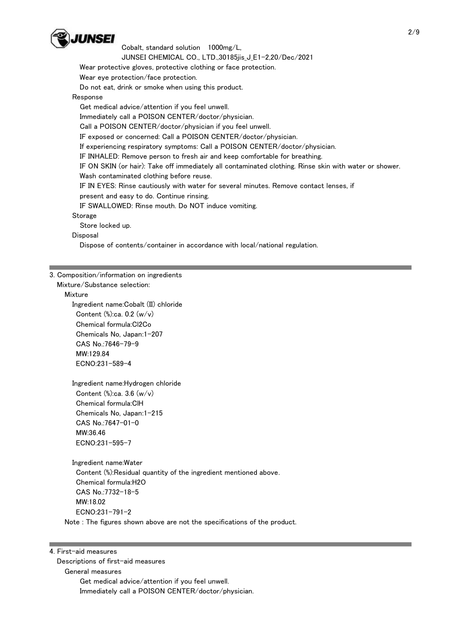

Wear protective gloves, protective clothing or face protection.

Wear eye protection/face protection.

Do not eat, drink or smoke when using this product.

### Response

Get medical advice/attention if you feel unwell.

Immediately call a POISON CENTER/doctor/physician.

Call a POISON CENTER/doctor/physician if you feel unwell.

IF exposed or concerned: Call a POISON CENTER/doctor/physician.

If experiencing respiratory symptoms: Call a POISON CENTER/doctor/physician.

IF INHALED: Remove person to fresh air and keep comfortable for breathing.

 IF ON SKIN (or hair): Take off immediately all contaminated clothing. Rinse skin with water or shower. Wash contaminated clothing before reuse.

IF IN EYES: Rinse cautiously with water for several minutes. Remove contact lenses, if

present and easy to do. Continue rinsing.

IF SWALLOWED: Rinse mouth. Do NOT induce vomiting.

### **Storage**

Store locked up.

Disposal

Dispose of contents/container in accordance with local/national regulation.

### 3. Composition/information on ingredients

Mixture/Substance selection:

#### Mixture

 Ingredient name:Cobalt (II) chloride Content (%):ca. 0.2 (w/v) Chemical formula:Cl2Co Chemicals No, Japan:1-207 CAS No.:7646-79-9 MW:129.84 ECNO:231-589-4

 Ingredient name:Hydrogen chloride Content (%):ca. 3.6 (w/v) Chemical formula:ClH Chemicals No, Japan:1-215 CAS No.:7647-01-0 MW:36.46 ECNO:231-595-7

 Ingredient name:Water Content (%):Residual quantity of the ingredient mentioned above. Chemical formula:H2O CAS No.:7732-18-5 MW:18.02 ECNO:231-791-2

Note : The figures shown above are not the specifications of the product.

#### 4. First-aid measures

 Descriptions of first-aid measures General measures Get medical advice/attention if you feel unwell. Immediately call a POISON CENTER/doctor/physician.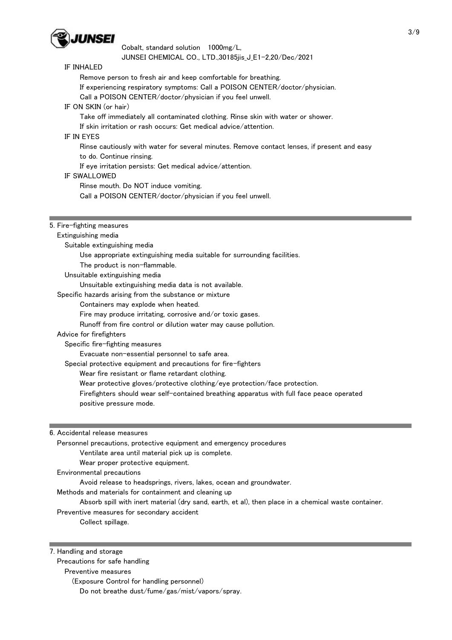

#### IF INHALED

Remove person to fresh air and keep comfortable for breathing.

If experiencing respiratory symptoms: Call a POISON CENTER/doctor/physician.

Call a POISON CENTER/doctor/physician if you feel unwell.

IF ON SKIN (or hair)

Take off immediately all contaminated clothing. Rinse skin with water or shower.

If skin irritation or rash occurs: Get medical advice/attention.

# IF IN EYES

Rinse cautiously with water for several minutes. Remove contact lenses, if present and easy

to do. Continue rinsing.

If eye irritation persists: Get medical advice/attention.

## IF SWALLOWED

Rinse mouth. Do NOT induce vomiting.

Call a POISON CENTER/doctor/physician if you feel unwell.

# 5. Fire-fighting measures

Extinguishing media

Suitable extinguishing media

Use appropriate extinguishing media suitable for surrounding facilities.

The product is non-flammable.

Unsuitable extinguishing media

Unsuitable extinguishing media data is not available.

Specific hazards arising from the substance or mixture

Containers may explode when heated.

Fire may produce irritating, corrosive and/or toxic gases.

Runoff from fire control or dilution water may cause pollution.

#### Advice for firefighters

Specific fire-fighting measures

Evacuate non-essential personnel to safe area.

Special protective equipment and precautions for fire-fighters

Wear fire resistant or flame retardant clothing.

Wear protective gloves/protective clothing/eye protection/face protection.

 Firefighters should wear self-contained breathing apparatus with full face peace operated positive pressure mode.

6. Accidental release measures

 Personnel precautions, protective equipment and emergency procedures Ventilate area until material pick up is complete. Wear proper protective equipment.

Environmental precautions

Avoid release to headsprings, rivers, lakes, ocean and groundwater.

Methods and materials for containment and cleaning up

Absorb spill with inert material (dry sand, earth, et al), then place in a chemical waste container.

Preventive measures for secondary accident

Collect spillage.

7. Handling and storage

Precautions for safe handling

Preventive measures

(Exposure Control for handling personnel)

Do not breathe dust/fume/gas/mist/vapors/spray.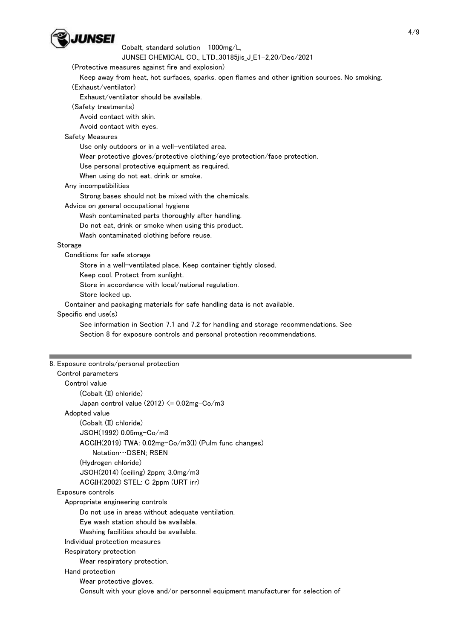

Cobalt, standard solution 1000mg/L,

JUNSEI CHEMICAL CO., LTD.,30185jis\_J\_E1-2,20/Dec/2021

(Protective measures against fire and explosion)

 Keep away from heat, hot surfaces, sparks, open flames and other ignition sources. No smoking. (Exhaust/ventilator)

Exhaust/ventilator should be available.

(Safety treatments)

Avoid contact with skin.

Avoid contact with eyes.

### Safety Measures

Use only outdoors or in a well-ventilated area.

Wear protective gloves/protective clothing/eye protection/face protection.

Use personal protective equipment as required.

When using do not eat, drink or smoke.

Any incompatibilities

Strong bases should not be mixed with the chemicals.

Advice on general occupational hygiene

Wash contaminated parts thoroughly after handling.

Do not eat, drink or smoke when using this product.

Wash contaminated clothing before reuse.

## Storage

Conditions for safe storage

Store in a well-ventilated place. Keep container tightly closed.

Keep cool. Protect from sunlight.

Store in accordance with local/national regulation.

Store locked up.

Container and packaging materials for safe handling data is not available.

# Specific end use(s)

 See information in Section 7.1 and 7.2 for handling and storage recommendations. See Section 8 for exposure controls and personal protection recommendations.

| 8. Exposure controls/personal protection                                         |  |
|----------------------------------------------------------------------------------|--|
| Control parameters                                                               |  |
| Control value                                                                    |  |
| (Cobalt (II) chloride)                                                           |  |
| Japan control value $(2012) \le 0.02$ mg-Co/m3                                   |  |
| Adopted value                                                                    |  |
| (Cobalt (II) chloride)                                                           |  |
| JSOH(1992) 0.05mg-Co/m3                                                          |  |
| ACGIH(2019) TWA: 0.02mg-Co/m3(I) (Pulm func changes)                             |  |
| Notation ··· DSEN; RSEN                                                          |  |
| (Hydrogen chloride)                                                              |  |
| $JSOH(2014)$ (ceiling) 2ppm; $3.0mg/m3$                                          |  |
| ACGIH(2002) STEL: C 2ppm (URT irr)                                               |  |
| Exposure controls                                                                |  |
| Appropriate engineering controls                                                 |  |
| Do not use in areas without adequate ventilation.                                |  |
| Eye wash station should be available.                                            |  |
| Washing facilities should be available.                                          |  |
| Individual protection measures                                                   |  |
| Respiratory protection                                                           |  |
| Wear respiratory protection.                                                     |  |
| Hand protection                                                                  |  |
| Wear protective gloves.                                                          |  |
| Consult with your glove and/or personnel equipment manufacturer for selection of |  |
|                                                                                  |  |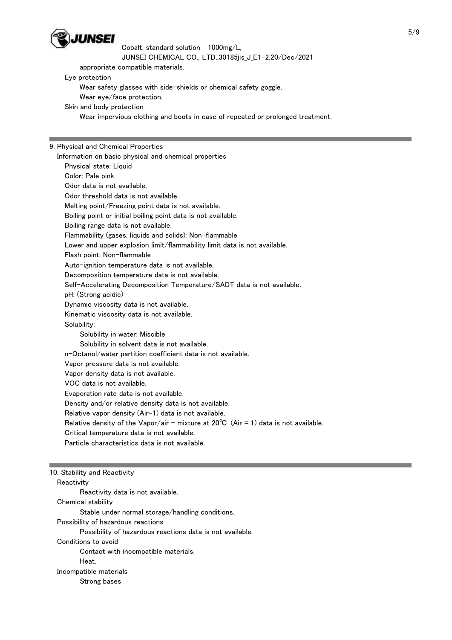

Cobalt, standard solution 1000mg/L,

JUNSEI CHEMICAL CO., LTD.,30185jis\_J\_E1-2,20/Dec/2021

appropriate compatible materials.

Eye protection

Wear safety glasses with side-shields or chemical safety goggle.

Wear eye/face protection.

Skin and body protection

Wear impervious clothing and boots in case of repeated or prolonged treatment.

9. Physical and Chemical Properties

 Information on basic physical and chemical properties Physical state: Liquid Color: Pale pink Odor data is not available. Odor threshold data is not available. Melting point/Freezing point data is not available. Boiling point or initial boiling point data is not available. Boiling range data is not available. Flammability (gases, liquids and solids): Non-flammable Lower and upper explosion limit/flammability limit data is not available. Flash point: Non-flammable Auto-ignition temperature data is not available. Decomposition temperature data is not available. Self-Accelerating Decomposition Temperature/SADT data is not available. pH: (Strong acidic) Dynamic viscosity data is not available. Kinematic viscosity data is not available. Solubility: Solubility in water: Miscible Solubility in solvent data is not available. n-Octanol/water partition coefficient data is not available. Vapor pressure data is not available. Vapor density data is not available. VOC data is not available. Evaporation rate data is not available. Density and/or relative density data is not available. Relative vapor density (Air=1) data is not available. Relative density of the Vapor/air - mixture at  $20^{\circ}C$  (Air = 1) data is not available. Critical temperature data is not available. Particle characteristics data is not available. 10. Stability and Reactivity **Reactivity**  Reactivity data is not available. Chemical stability Stable under normal storage/handling conditions. Possibility of hazardous reactions Possibility of hazardous reactions data is not available. Conditions to avoid

Contact with incompatible materials.

Heat.

 Incompatible materials Strong bases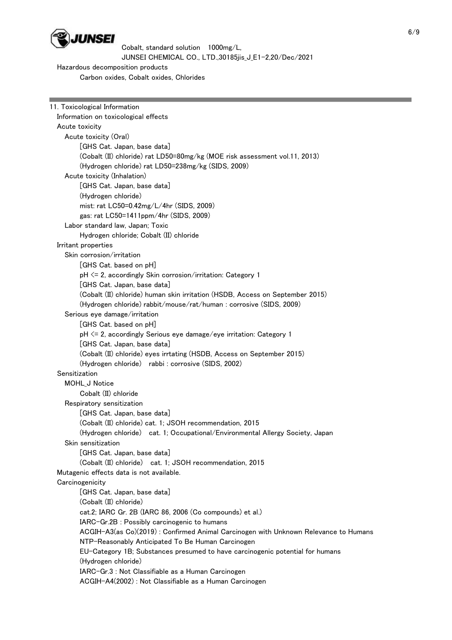

 Hazardous decomposition products Carbon oxides, Cobalt oxides, Chlorides

| 11. Toxicological Information                                                       |
|-------------------------------------------------------------------------------------|
| Information on toxicological effects                                                |
| Acute toxicity                                                                      |
| Acute toxicity (Oral)                                                               |
| [GHS Cat. Japan, base data]                                                         |
| (Cobalt (II) chloride) rat LD50=80mg/kg (MOE risk assessment vol.11, 2013)          |
| (Hydrogen chloride) rat LD50=238mg/kg (SIDS, 2009)                                  |
| Acute toxicity (Inhalation)                                                         |
| [GHS Cat. Japan, base data]                                                         |
| (Hydrogen chloride)                                                                 |
| mist: rat LC50=0.42mg/L/4hr (SIDS, 2009)                                            |
| gas: rat LC50=1411ppm/4hr (SIDS, 2009)                                              |
| Labor standard law, Japan; Toxic                                                    |
| Hydrogen chloride; Cobalt (II) chloride                                             |
| Irritant properties                                                                 |
| Skin corrosion/irritation                                                           |
| [GHS Cat. based on pH]                                                              |
| pH <= 2, accordingly Skin corrosion/irritation: Category 1                          |
| [GHS Cat. Japan, base data]                                                         |
| (Cobalt (II) chloride) human skin irritation (HSDB, Access on September 2015)       |
| (Hydrogen chloride) rabbit/mouse/rat/human : corrosive (SIDS, 2009)                 |
| Serious eye damage/irritation                                                       |
| [GHS Cat. based on pH]                                                              |
| pH <= 2, accordingly Serious eye damage/eye irritation: Category 1                  |
| [GHS Cat. Japan, base data]                                                         |
| (Cobalt (II) chloride) eyes irrtating (HSDB, Access on September 2015)              |
| (Hydrogen chloride) rabbi: corrosive (SIDS, 2002)                                   |
| Sensitization                                                                       |
| MOHL_J Notice                                                                       |
| Cobalt (II) chloride                                                                |
| Respiratory sensitization                                                           |
| [GHS Cat. Japan, base data]                                                         |
| (Cobalt (II) chloride) cat. 1; JSOH recommendation, 2015                            |
| (Hydrogen chloride) cat. 1; Occupational/Environmental Allergy Society, Japan       |
| Skin sensitization                                                                  |
| [GHS Cat. Japan, base data]                                                         |
| (Cobalt (II) chloride) cat. 1; JSOH recommendation, 2015                            |
| Mutagenic effects data is not available.                                            |
| Carcinogenicity                                                                     |
| [GHS Cat. Japan, base data]                                                         |
| (Cobalt (II) chloride)                                                              |
| cat.2; IARC Gr. 2B (IARC 86, 2006 (Co compounds) et al.)                            |
| IARC-Gr.2B : Possibly carcinogenic to humans                                        |
| ACGIH-A3(as Co)(2019): Confirmed Animal Carcinogen with Unknown Relevance to Humans |
| NTP-Reasonably Anticipated To Be Human Carcinogen                                   |
| EU-Category 1B; Substances presumed to have carcinogenic potential for humans       |
| (Hydrogen chloride)<br>IARC-Gr.3 : Not Classifiable as a Human Carcinogen           |
| ACGIH-A4(2002): Not Classifiable as a Human Carcinogen                              |
|                                                                                     |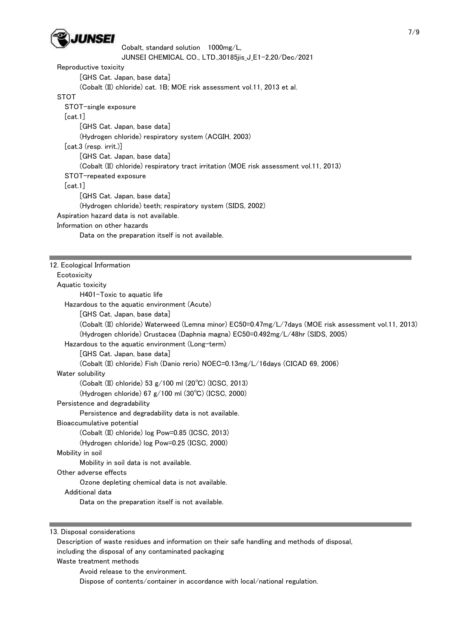

Cobalt, standard solution 1000mg/L, JUNSEI CHEMICAL CO., LTD.,30185jis\_J\_E1-2,20/Dec/2021 Reproductive toxicity [GHS Cat. Japan, base data] (Cobalt (II) chloride) cat. 1B; MOE risk assessment vol.11, 2013 et al. **STOT**  STOT-single exposure [cat.1] [GHS Cat. Japan, base data] (Hydrogen chloride) respiratory system (ACGIH, 2003) [cat.3 (resp. irrit.)] [GHS Cat. Japan, base data] (Cobalt (II) chloride) respiratory tract irritation (MOE risk assessment vol.11, 2013) STOT-repeated exposure  $[cat.1]$  [GHS Cat. Japan, base data] (Hydrogen chloride) teeth; respiratory system (SIDS, 2002) Aspiration hazard data is not available. Information on other hazards

Data on the preparation itself is not available.

12. Ecological Information **Ecotoxicity**  Aquatic toxicity H401-Toxic to aquatic life Hazardous to the aquatic environment (Acute) [GHS Cat. Japan, base data] (Cobalt (II) chloride) Waterweed (Lemna minor) EC50=0.47mg/L/7days (MOE risk assessment vol.11, 2013) (Hydrogen chloride) Crustacea (Daphnia magna) EC50=0.492mg/L/48hr (SIDS, 2005) Hazardous to the aquatic environment (Long-term) [GHS Cat. Japan, base data] (Cobalt (II) chloride) Fish (Danio rerio) NOEC=0.13mg/L/16days (CICAD 69, 2006) Water solubility (Cobalt (II) chloride) 53 g/100 ml (20℃) (ICSC, 2013) (Hydrogen chloride) 67 g/100 ml (30℃) (ICSC, 2000) Persistence and degradability Persistence and degradability data is not available. Bioaccumulative potential (Cobalt (II) chloride) log Pow=0.85 (ICSC, 2013) (Hydrogen chloride) log Pow=0.25 (ICSC, 2000) Mobility in soil Mobility in soil data is not available. Other adverse effects Ozone depleting chemical data is not available. Additional data Data on the preparation itself is not available.

13. Disposal considerations

 Description of waste residues and information on their safe handling and methods of disposal, including the disposal of any contaminated packaging

Waste treatment methods

Avoid release to the environment.

Dispose of contents/container in accordance with local/national regulation.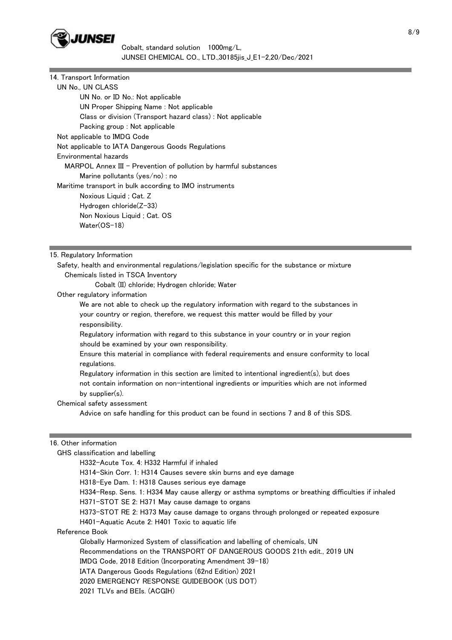

| 14. Transport Information                                         |
|-------------------------------------------------------------------|
| UN No., UN CLASS                                                  |
| UN No. or ID No.: Not applicable                                  |
| UN Proper Shipping Name : Not applicable                          |
| Class or division (Transport hazard class): Not applicable        |
| Packing group : Not applicable                                    |
| Not applicable to IMDG Code                                       |
| Not applicable to IATA Dangerous Goods Regulations                |
| Environmental hazards                                             |
| $MAPOL$ Annex III - Prevention of pollution by harmful substances |
| Marine pollutants (yes/no) : no                                   |
| Maritime transport in bulk according to IMO instruments           |
| Noxious Liquid ; Cat. Z                                           |
| Hydrogen chloride(Z-33)                                           |
| Non Noxious Liquid; Cat. OS                                       |
| $Water(OS-18)$                                                    |
|                                                                   |

15. Regulatory Information

 Safety, health and environmental regulations/legislation specific for the substance or mixture Chemicals listed in TSCA Inventory

Cobalt (II) chloride; Hydrogen chloride; Water

Other regulatory information

 We are not able to check up the regulatory information with regard to the substances in your country or region, therefore, we request this matter would be filled by your responsibility.

 Regulatory information with regard to this substance in your country or in your region should be examined by your own responsibility.

 Ensure this material in compliance with federal requirements and ensure conformity to local regulations.

 Regulatory information in this section are limited to intentional ingredient(s), but does not contain information on non-intentional ingredients or impurities which are not informed by supplier(s).

Chemical safety assessment

Advice on safe handling for this product can be found in sections 7 and 8 of this SDS.

#### 16. Other information

GHS classification and labelling

H332-Acute Tox. 4: H332 Harmful if inhaled

H314-Skin Corr. 1: H314 Causes severe skin burns and eye damage

H318-Eye Dam. 1: H318 Causes serious eye damage

H334-Resp. Sens. 1: H334 May cause allergy or asthma symptoms or breathing difficulties if inhaled

H371-STOT SE 2: H371 May cause damage to organs

H373-STOT RE 2: H373 May cause damage to organs through prolonged or repeated exposure

H401-Aquatic Acute 2: H401 Toxic to aquatic life

Reference Book

 Globally Harmonized System of classification and labelling of chemicals, UN Recommendations on the TRANSPORT OF DANGEROUS GOODS 21th edit., 2019 UN IMDG Code, 2018 Edition (Incorporating Amendment 39-18) IATA Dangerous Goods Regulations (62nd Edition) 2021 2020 EMERGENCY RESPONSE GUIDEBOOK (US DOT) 2021 TLVs and BEIs. (ACGIH)